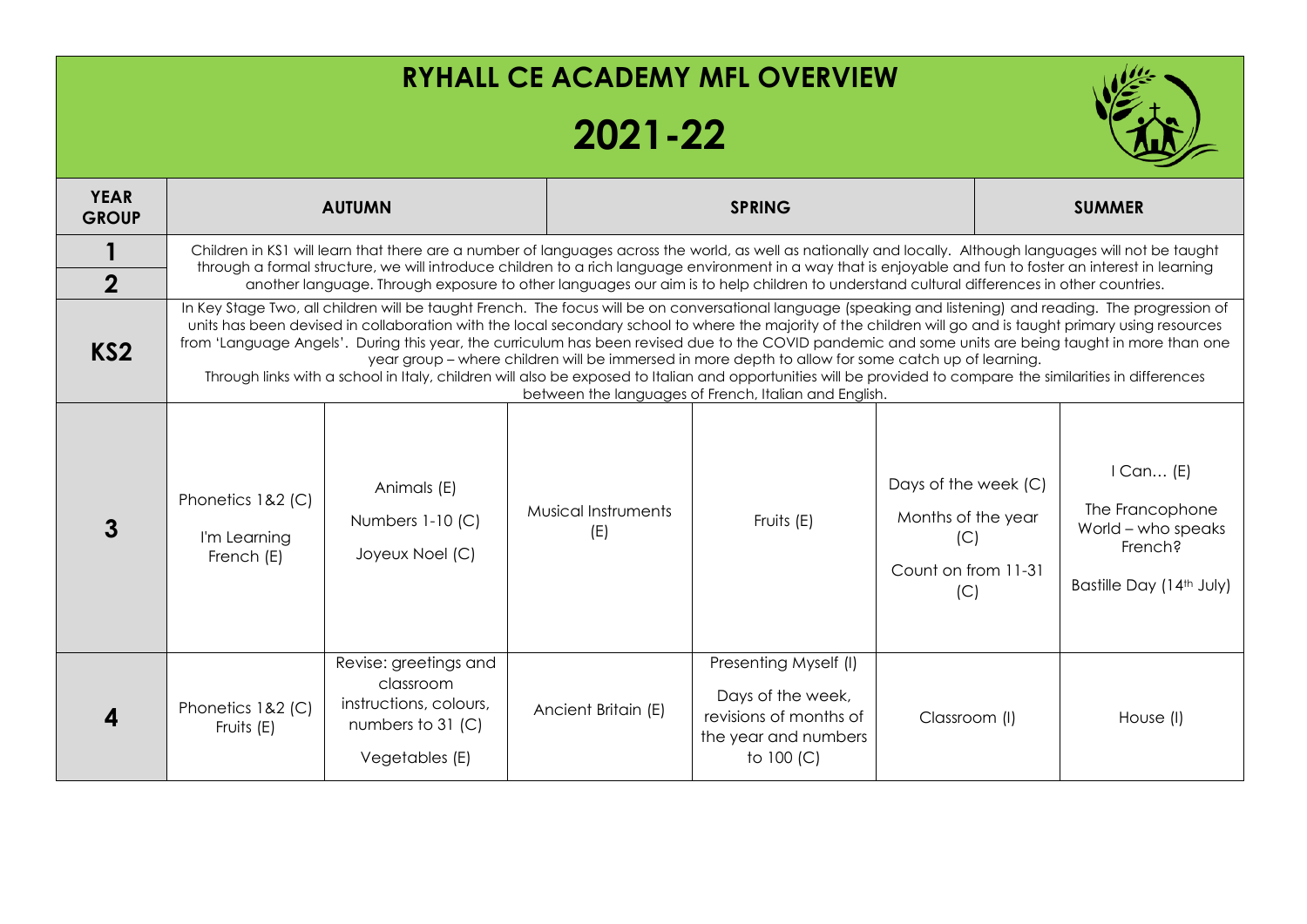## **RYHALL CE ACADEMY MFL OVERVIEW 2021-22 YEAR GROUP AUTUMN SPRING SUMMER 1** Children in KS1 will learn that there are a number of languages across the world, as well as nationally and locally. Although languages will not be taught through a formal structure, we will introduce children to a rich language environment in a way that is enjoyable and fun to foster an interest in learning **2** another language. Through exposure to other languages our aim is to help children to understand cultural differences in other countries. **KS2** In Key Stage Two, all children will be taught French. The focus will be on conversational language (speaking and listening) and reading. The progression of units has been devised in collaboration with the local secondary school to where the majority of the children will go and is taught primary using resources from 'Language Angels'. During this year, the curriculum has been revised due to the COVID pandemic and some units are being taught in more than one year group – where children will be immersed in more depth to allow for some catch up of learning. Through links with a school in Italy, children will also be exposed to Italian and opportunities will be provided to compare the similarities in differences between the languages of French, Italian and English. **3** Phonetics 1&2 (C) I'm Learning French (E) Animals (E) Numbers 1-10 (C) Joyeux Noel (C) Musical Instruments  $(E)$  Fruits (E) Days of the week (C) Months of the year  $(C)$ Count on from 11-31  $(C)$ I Can… (E) The Francophone World – who speaks French? Bastille Day (14<sup>th</sup> July)

Presenting Myself (I)

Days of the week, revisions of months of the year and numbers to 100 (C)

Classroom (I) House (I)

Ancient Britain (E)

**4**

Phonetics 1&2 (C) Fruits (E)

Revise: greetings and classroom instructions, colours, numbers to 31 (C)

Vegetables (E)